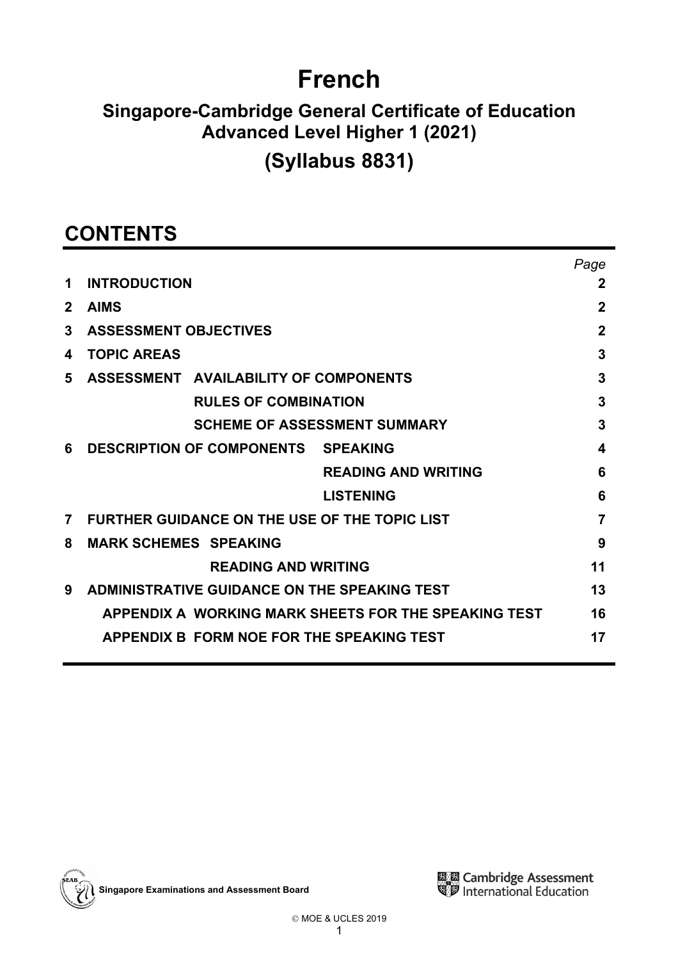# **French**

# **Singapore-Cambridge General Certificate of Education Advanced Level Higher 1 (2021)**

# **(Syllabus 8831)**

# **CONTENTS**

|                |                                                      | Page        |
|----------------|------------------------------------------------------|-------------|
| 1              | <b>INTRODUCTION</b>                                  | $\mathbf 2$ |
| $\mathbf{2}$   | <b>AIMS</b>                                          | $\mathbf 2$ |
| 3              | <b>ASSESSMENT OBJECTIVES</b>                         | 2           |
| 4              | <b>TOPIC AREAS</b>                                   | 3           |
| 5              | ASSESSMENT AVAILABILITY OF COMPONENTS                | 3           |
|                | <b>RULES OF COMBINATION</b>                          | 3           |
|                | <b>SCHEME OF ASSESSMENT SUMMARY</b>                  | 3           |
| 6              | <b>DESCRIPTION OF COMPONENTS SPEAKING</b>            | 4           |
|                | <b>READING AND WRITING</b>                           | 6           |
|                | <b>LISTENING</b>                                     | 6           |
| $\overline{7}$ | <b>FURTHER GUIDANCE ON THE USE OF THE TOPIC LIST</b> | 7           |
| 8              | <b>MARK SCHEMES SPEAKING</b>                         | 9           |
|                | <b>READING AND WRITING</b>                           | 11          |
| 9              | ADMINISTRATIVE GUIDANCE ON THE SPEAKING TEST         | 13          |
|                | APPENDIX A WORKING MARK SHEETS FOR THE SPEAKING TEST | 16          |
|                | APPENDIX B FORM NOE FOR THE SPEAKING TEST            | 17          |

**Singapore Examinations and Assessment Board** 

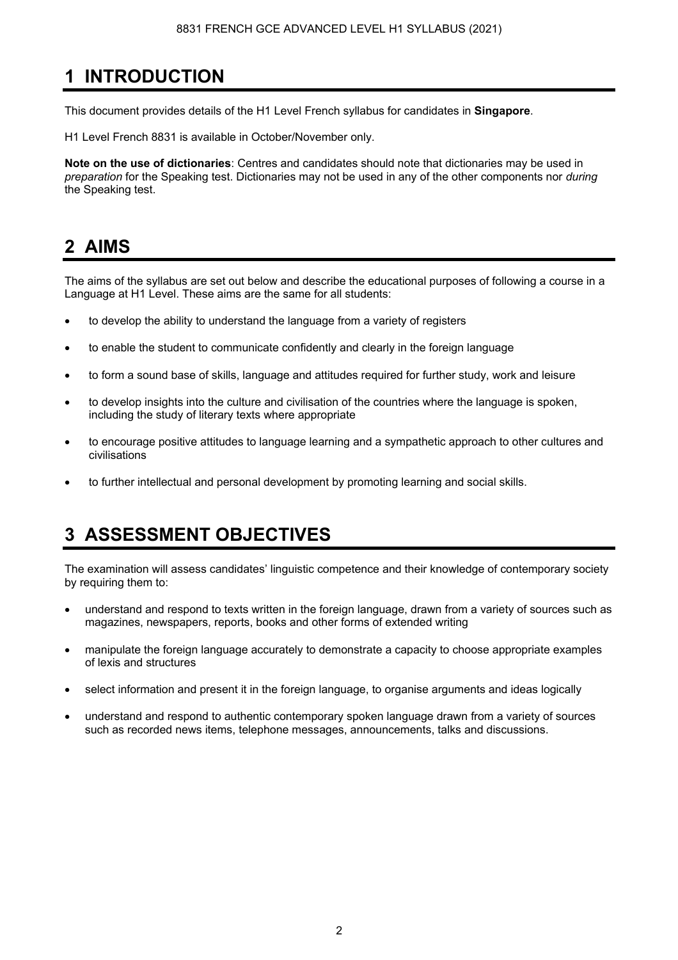## **1 INTRODUCTION**

This document provides details of the H1 Level French syllabus for candidates in **Singapore**.

H1 Level French 8831 is available in October/November only.

**Note on the use of dictionaries**: Centres and candidates should note that dictionaries may be used in *preparation* for the Speaking test. Dictionaries may not be used in any of the other components nor *during* the Speaking test.

### **2 AIMS**

The aims of the syllabus are set out below and describe the educational purposes of following a course in a Language at H1 Level. These aims are the same for all students:

- to develop the ability to understand the language from a variety of registers
- to enable the student to communicate confidently and clearly in the foreign language
- to form a sound base of skills, language and attitudes required for further study, work and leisure
- to develop insights into the culture and civilisation of the countries where the language is spoken, including the study of literary texts where appropriate
- to encourage positive attitudes to language learning and a sympathetic approach to other cultures and civilisations
- to further intellectual and personal development by promoting learning and social skills.

### **3 ASSESSMENT OBJECTIVES**

The examination will assess candidates' linguistic competence and their knowledge of contemporary society by requiring them to:

- understand and respond to texts written in the foreign language, drawn from a variety of sources such as magazines, newspapers, reports, books and other forms of extended writing
- manipulate the foreign language accurately to demonstrate a capacity to choose appropriate examples of lexis and structures
- select information and present it in the foreign language, to organise arguments and ideas logically
- understand and respond to authentic contemporary spoken language drawn from a variety of sources such as recorded news items, telephone messages, announcements, talks and discussions.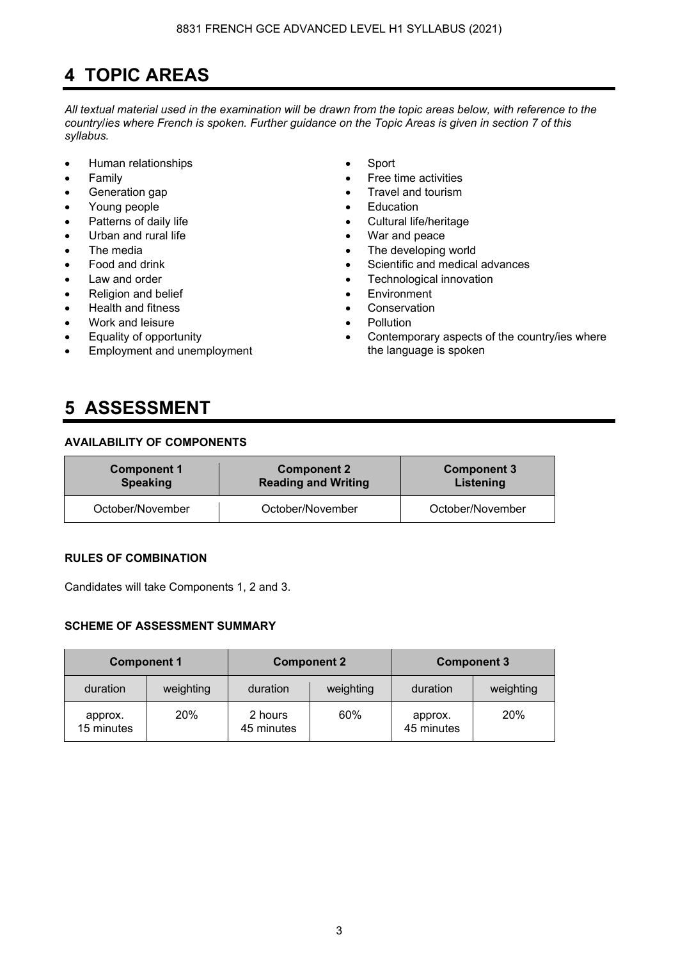# **4 TOPIC AREAS**

*All textual material used in the examination will be drawn from the topic areas below, with reference to the country*/*ies where French is spoken. Further guidance on the Topic Areas is given in section 7 of this syllabus.* 

- Human relationships Sport
- 
- Generation gap **•** Travel and tourism
- Young people Education
- 
- Urban and rural life  **War and peace**
- 
- 
- 
- **Religion and belief Environment**
- Health and fitness Conservation
- Work and leisure Pollution
- Equality of opportunity
- Employment and unemployment

# **5 ASSESSMENT**

#### **AVAILABILITY OF COMPONENTS**

| <b>Component 1</b> | <b>Component 2</b>         | <b>Component 3</b> |  |  |  |  |
|--------------------|----------------------------|--------------------|--|--|--|--|
| <b>Speaking</b>    | <b>Reading and Writing</b> | Listening          |  |  |  |  |
| October/November   | October/November           | October/November   |  |  |  |  |

#### **RULES OF COMBINATION**

Candidates will take Components 1, 2 and 3.

#### **SCHEME OF ASSESSMENT SUMMARY**

|                              | <b>Component 1</b> |                       | <b>Component 2</b> | <b>Component 3</b>    |           |  |  |  |
|------------------------------|--------------------|-----------------------|--------------------|-----------------------|-----------|--|--|--|
| duration                     | weighting          | duration              | weighting          | duration              | weighting |  |  |  |
| 20%<br>approx.<br>15 minutes |                    | 2 hours<br>45 minutes | 60%                | approx.<br>45 minutes | 20%       |  |  |  |

- 
- Family Free time activities
	-
	-
- Patterns of daily life **butter in the Cultural life/heritage •** Cultural life/heritage
	-
- The media The developing world
- Food and drink **•** Scientific and medical advances
- Law and order **Figure 2018 Technological innovation** 
	-
	- -
		- Contemporary aspects of the country/ies where the language is spoken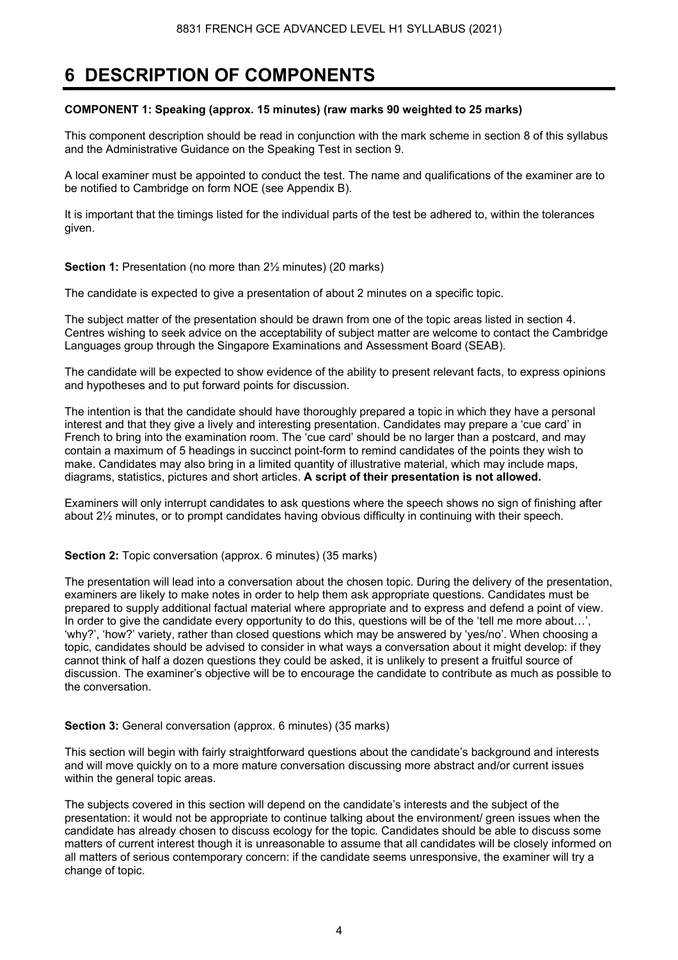### **6 DESCRIPTION OF COMPONENTS**

#### **COMPONENT 1: Speaking (approx. 15 minutes) (raw marks 90 weighted to 25 marks)**

This component description should be read in conjunction with the mark scheme in section 8 of this syllabus and the Administrative Guidance on the Speaking Test in section 9.

A local examiner must be appointed to conduct the test. The name and qualifications of the examiner are to be notified to Cambridge on form NOE (see Appendix B).

It is important that the timings listed for the individual parts of the test be adhered to, within the tolerances given.

**Section 1:** Presentation (no more than  $2\frac{1}{2}$  minutes) (20 marks)

The candidate is expected to give a presentation of about 2 minutes on a specific topic.

The subject matter of the presentation should be drawn from one of the topic areas listed in section 4. Centres wishing to seek advice on the acceptability of subject matter are welcome to contact the Cambridge Languages group through the Singapore Examinations and Assessment Board (SEAB).

The candidate will be expected to show evidence of the ability to present relevant facts, to express opinions and hypotheses and to put forward points for discussion.

The intention is that the candidate should have thoroughly prepared a topic in which they have a personal interest and that they give a lively and interesting presentation. Candidates may prepare a 'cue card' in French to bring into the examination room. The 'cue card' should be no larger than a postcard, and may contain a maximum of 5 headings in succinct point-form to remind candidates of the points they wish to make. Candidates may also bring in a limited quantity of illustrative material, which may include maps, diagrams, statistics, pictures and short articles. **A script of their presentation is not allowed.** 

Examiners will only interrupt candidates to ask questions where the speech shows no sign of finishing after about 2½ minutes, or to prompt candidates having obvious difficulty in continuing with their speech.

#### **Section 2:** Topic conversation (approx. 6 minutes) (35 marks)

The presentation will lead into a conversation about the chosen topic. During the delivery of the presentation, examiners are likely to make notes in order to help them ask appropriate questions. Candidates must be prepared to supply additional factual material where appropriate and to express and defend a point of view. In order to give the candidate every opportunity to do this, questions will be of the 'tell me more about...'. 'why?', 'how?' variety, rather than closed questions which may be answered by 'yes/no'. When choosing a topic, candidates should be advised to consider in what ways a conversation about it might develop: if they cannot think of half a dozen questions they could be asked, it is unlikely to present a fruitful source of discussion. The examiner's objective will be to encourage the candidate to contribute as much as possible to the conversation.

#### **Section 3:** General conversation (approx. 6 minutes) (35 marks)

This section will begin with fairly straightforward questions about the candidate's background and interests and will move quickly on to a more mature conversation discussing more abstract and/or current issues within the general topic areas.

The subjects covered in this section will depend on the candidate's interests and the subject of the presentation: it would not be appropriate to continue talking about the environment/ green issues when the candidate has already chosen to discuss ecology for the topic. Candidates should be able to discuss some matters of current interest though it is unreasonable to assume that all candidates will be closely informed on all matters of serious contemporary concern: if the candidate seems unresponsive, the examiner will try a change of topic.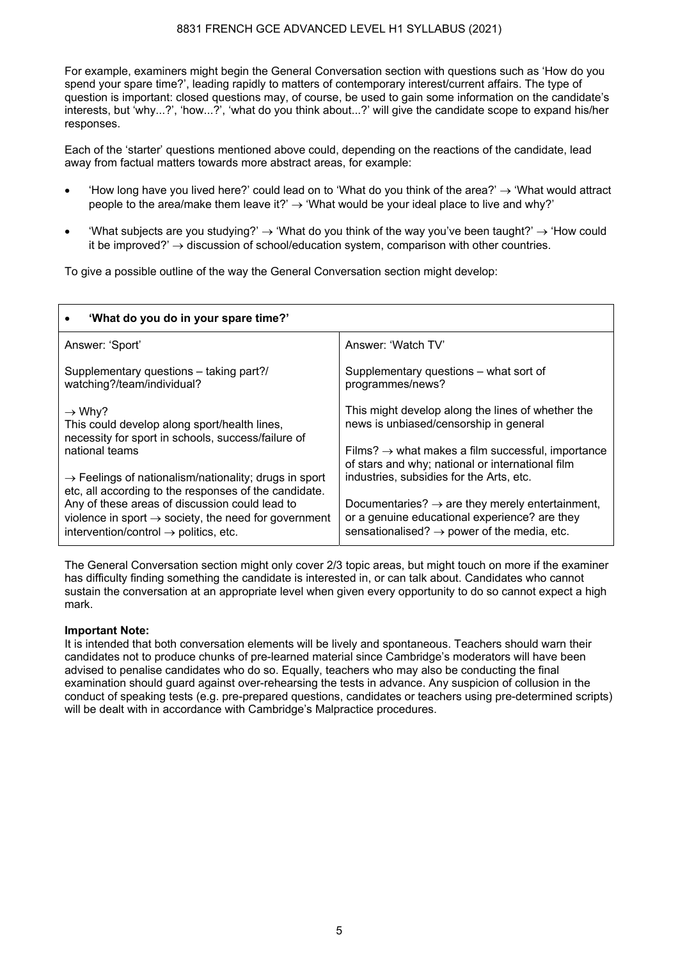For example, examiners might begin the General Conversation section with questions such as 'How do you spend your spare time?', leading rapidly to matters of contemporary interest/current affairs. The type of question is important: closed questions may, of course, be used to gain some information on the candidate's interests, but 'why...?', 'how...?', 'what do you think about...?' will give the candidate scope to expand his/her responses.

Each of the 'starter' questions mentioned above could, depending on the reactions of the candidate, lead away from factual matters towards more abstract areas, for example:

- How long have you lived here?' could lead on to 'What do you think of the area?'  $\rightarrow$  'What would attract people to the area/make them leave it?'  $\rightarrow$  'What would be your ideal place to live and why?'
- What subjects are you studying?'  $\rightarrow$  'What do you think of the way you've been taught?'  $\rightarrow$  'How could' it be improved?'  $\rightarrow$  discussion of school/education system, comparison with other countries.

To give a possible outline of the way the General Conversation section might develop:

| 'What do you do in your spare time?'                                                                                                                                    |                                                                                                                                                                         |
|-------------------------------------------------------------------------------------------------------------------------------------------------------------------------|-------------------------------------------------------------------------------------------------------------------------------------------------------------------------|
| Answer: 'Sport'                                                                                                                                                         | Answer: 'Watch TV'                                                                                                                                                      |
| Supplementary questions – taking part?/<br>watching?/team/individual?                                                                                                   | Supplementary questions - what sort of<br>programmes/news?                                                                                                              |
| $\rightarrow$ Why?<br>This could develop along sport/health lines,<br>necessity for sport in schools, success/failure of                                                | This might develop along the lines of whether the<br>news is unbiased/censorship in general                                                                             |
| national teams                                                                                                                                                          | Films? $\rightarrow$ what makes a film successful, importance<br>of stars and why; national or international film                                                       |
| $\rightarrow$ Feelings of nationalism/nationality; drugs in sport<br>etc, all according to the responses of the candidate.                                              | industries, subsidies for the Arts, etc.                                                                                                                                |
| Any of these areas of discussion could lead to<br>violence in sport $\rightarrow$ society, the need for government<br>intervention/control $\rightarrow$ politics, etc. | Documentaries? $\rightarrow$ are they merely entertainment,<br>or a genuine educational experience? are they<br>sensationalised? $\rightarrow$ power of the media, etc. |

The General Conversation section might only cover 2/3 topic areas, but might touch on more if the examiner has difficulty finding something the candidate is interested in, or can talk about. Candidates who cannot sustain the conversation at an appropriate level when given every opportunity to do so cannot expect a high mark.

#### **Important Note:**

It is intended that both conversation elements will be lively and spontaneous. Teachers should warn their candidates not to produce chunks of pre-learned material since Cambridge's moderators will have been advised to penalise candidates who do so. Equally, teachers who may also be conducting the final examination should guard against over-rehearsing the tests in advance. Any suspicion of collusion in the conduct of speaking tests (e.g. pre-prepared questions, candidates or teachers using pre-determined scripts) will be dealt with in accordance with Cambridge's Malpractice procedures.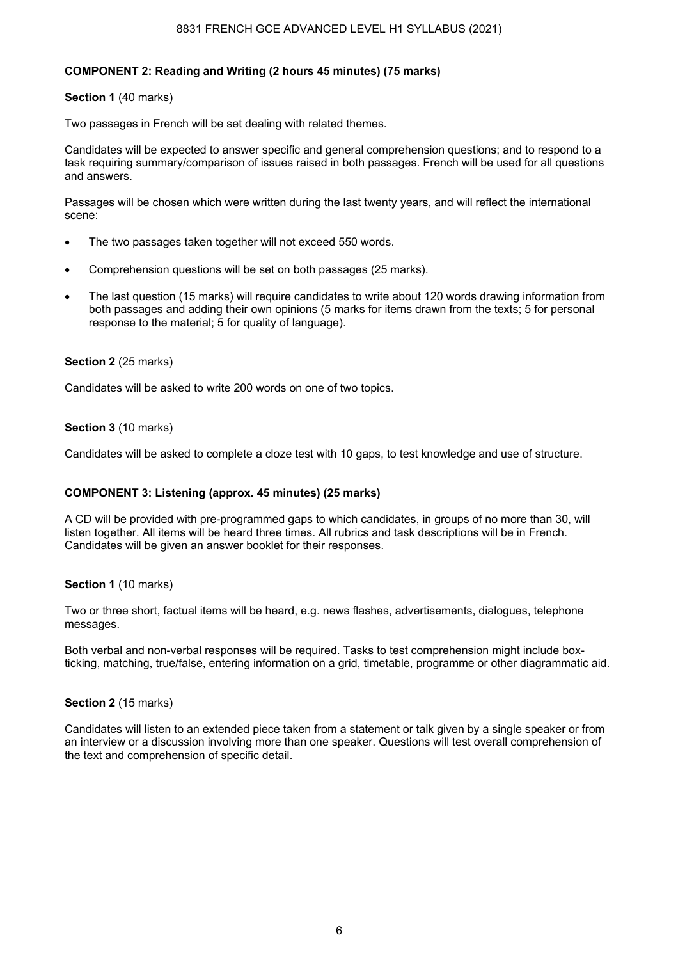#### 8831 FRENCH GCE ADVANCED LEVEL H1 SYLLABUS (2021)

#### **COMPONENT 2: Reading and Writing (2 hours 45 minutes) (75 marks)**

#### **Section 1** (40 marks)

Two passages in French will be set dealing with related themes.

Candidates will be expected to answer specific and general comprehension questions; and to respond to a task requiring summary/comparison of issues raised in both passages. French will be used for all questions and answers.

Passages will be chosen which were written during the last twenty years, and will reflect the international scene:

- The two passages taken together will not exceed 550 words.
- Comprehension questions will be set on both passages (25 marks).
- The last question (15 marks) will require candidates to write about 120 words drawing information from both passages and adding their own opinions (5 marks for items drawn from the texts; 5 for personal response to the material; 5 for quality of language).

#### **Section 2** (25 marks)

Candidates will be asked to write 200 words on one of two topics.

#### **Section 3** (10 marks)

Candidates will be asked to complete a cloze test with 10 gaps, to test knowledge and use of structure.

#### **COMPONENT 3: Listening (approx. 45 minutes) (25 marks)**

A CD will be provided with pre-programmed gaps to which candidates, in groups of no more than 30, will listen together. All items will be heard three times. All rubrics and task descriptions will be in French. Candidates will be given an answer booklet for their responses.

#### **Section 1** (10 marks)

Two or three short, factual items will be heard, e.g. news flashes, advertisements, dialogues, telephone messages.

Both verbal and non-verbal responses will be required. Tasks to test comprehension might include boxticking, matching, true/false, entering information on a grid, timetable, programme or other diagrammatic aid.

#### **Section 2** (15 marks)

Candidates will listen to an extended piece taken from a statement or talk given by a single speaker or from an interview or a discussion involving more than one speaker. Questions will test overall comprehension of the text and comprehension of specific detail.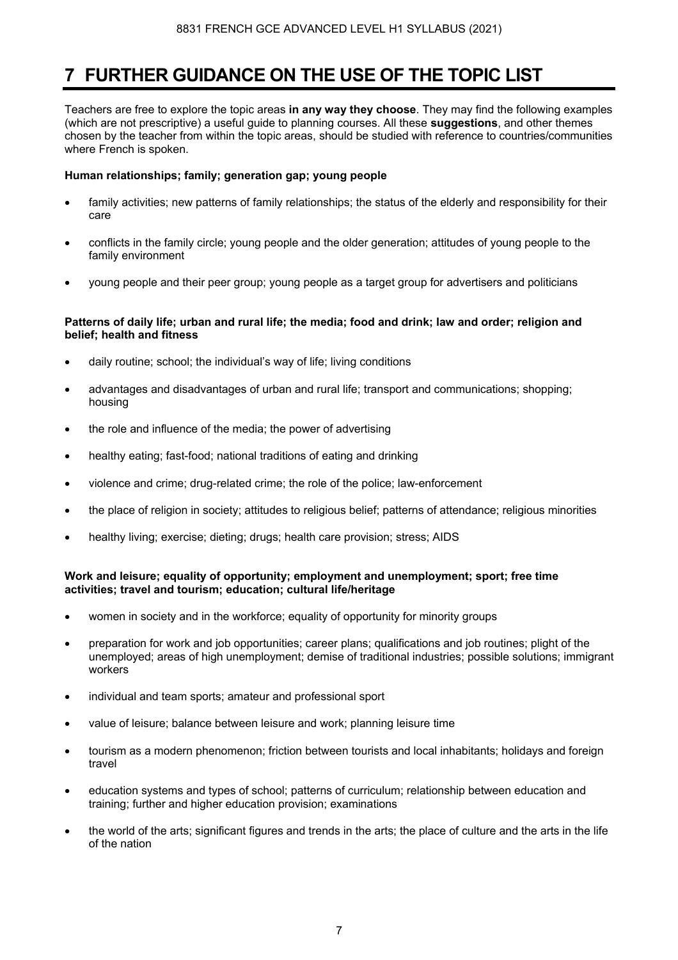### **7 FURTHER GUIDANCE ON THE USE OF THE TOPIC LIST**

Teachers are free to explore the topic areas **in any way they choose**. They may find the following examples (which are not prescriptive) a useful guide to planning courses. All these **suggestions**, and other themes chosen by the teacher from within the topic areas, should be studied with reference to countries/communities where French is spoken.

#### **Human relationships; family; generation gap; young people**

- family activities; new patterns of family relationships; the status of the elderly and responsibility for their care
- conflicts in the family circle; young people and the older generation; attitudes of young people to the family environment
- young people and their peer group; young people as a target group for advertisers and politicians

#### **Patterns of daily life; urban and rural life; the media; food and drink; law and order; religion and belief; health and fitness**

- daily routine; school; the individual's way of life; living conditions
- advantages and disadvantages of urban and rural life; transport and communications; shopping; housing
- the role and influence of the media; the power of advertising
- healthy eating; fast-food; national traditions of eating and drinking
- violence and crime; drug-related crime; the role of the police; law-enforcement
- the place of religion in society; attitudes to religious belief; patterns of attendance; religious minorities
- healthy living; exercise; dieting; drugs; health care provision; stress; AIDS

#### **Work and leisure; equality of opportunity; employment and unemployment; sport; free time activities; travel and tourism; education; cultural life/heritage**

- women in society and in the workforce; equality of opportunity for minority groups
- preparation for work and job opportunities; career plans; qualifications and job routines; plight of the unemployed; areas of high unemployment; demise of traditional industries; possible solutions; immigrant workers
- individual and team sports; amateur and professional sport
- value of leisure; balance between leisure and work; planning leisure time
- tourism as a modern phenomenon; friction between tourists and local inhabitants; holidays and foreign travel
- education systems and types of school; patterns of curriculum; relationship between education and training; further and higher education provision; examinations
- the world of the arts; significant figures and trends in the arts; the place of culture and the arts in the life of the nation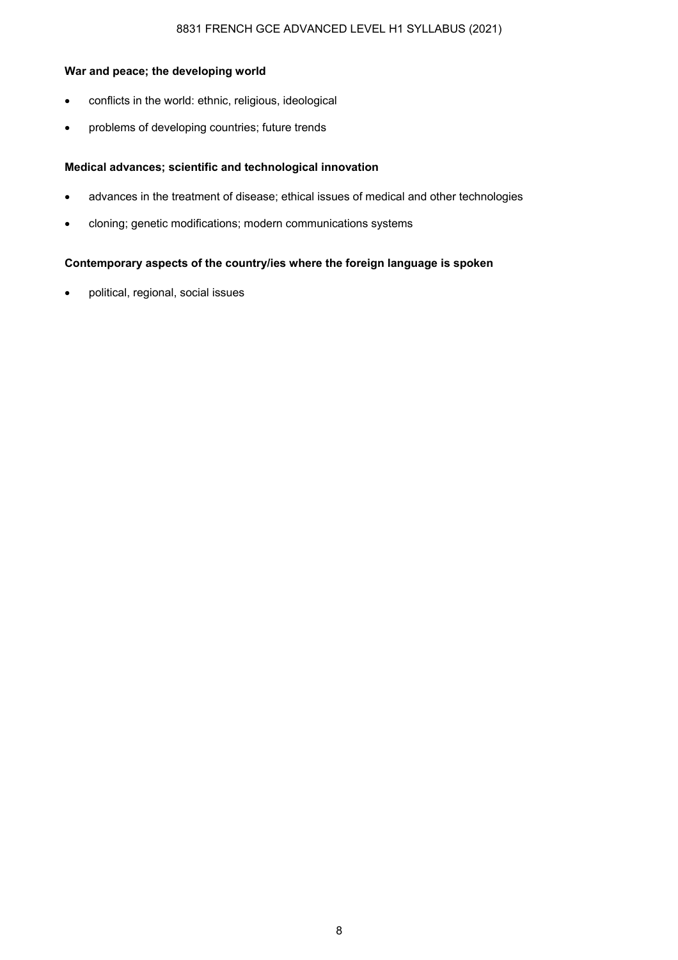#### 8831 FRENCH GCE ADVANCED LEVEL H1 SYLLABUS (2021)

#### **War and peace; the developing world**

- conflicts in the world: ethnic, religious, ideological
- problems of developing countries; future trends

#### **Medical advances; scientific and technological innovation**

- advances in the treatment of disease; ethical issues of medical and other technologies
- cloning; genetic modifications; modern communications systems

#### **Contemporary aspects of the country/ies where the foreign language is spoken**

• political, regional, social issues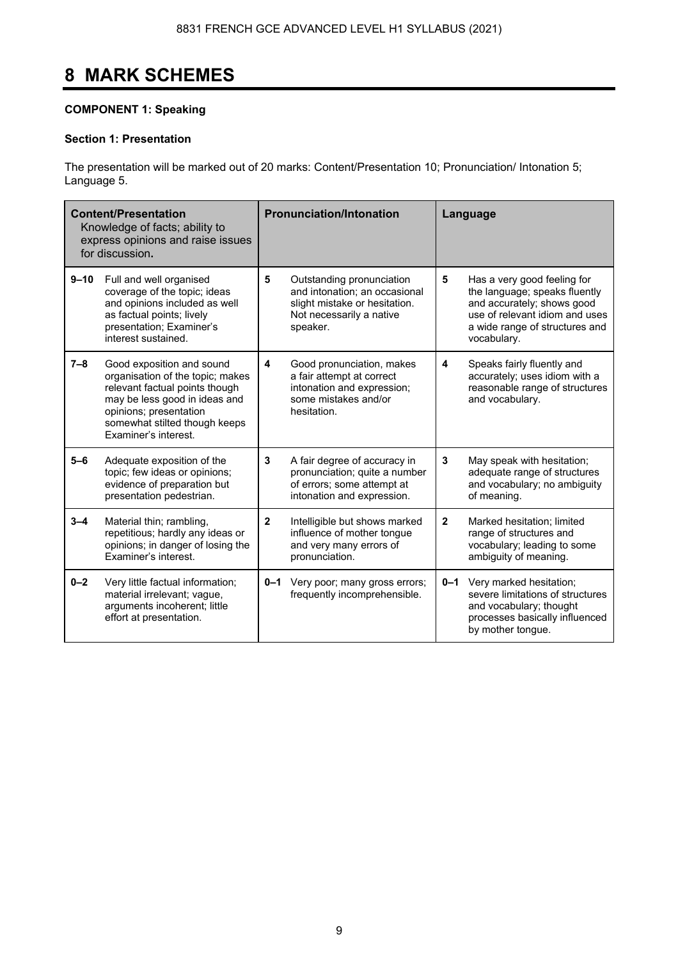# **8 MARK SCHEMES**

### **COMPONENT 1: Speaking**

#### **Section 1: Presentation**

The presentation will be marked out of 20 marks: Content/Presentation 10; Pronunciation/ Intonation 5; Language 5.

| <b>Content/Presentation</b><br>Knowledge of facts; ability to<br>express opinions and raise issues<br>for discussion. |                                                                                                                                                                                                                     |                         | <b>Pronunciation/Intonation</b>                                                                                                     | Language                |                                                                                                                                                                               |  |  |  |  |
|-----------------------------------------------------------------------------------------------------------------------|---------------------------------------------------------------------------------------------------------------------------------------------------------------------------------------------------------------------|-------------------------|-------------------------------------------------------------------------------------------------------------------------------------|-------------------------|-------------------------------------------------------------------------------------------------------------------------------------------------------------------------------|--|--|--|--|
| 9–10                                                                                                                  | Full and well organised<br>coverage of the topic; ideas<br>and opinions included as well<br>as factual points; lively<br>presentation; Examiner's<br>interest sustained.                                            | 5                       | Outstanding pronunciation<br>and intonation; an occasional<br>slight mistake or hesitation.<br>Not necessarily a native<br>speaker. | 5                       | Has a very good feeling for<br>the language; speaks fluently<br>and accurately; shows good<br>use of relevant idiom and uses<br>a wide range of structures and<br>vocabulary. |  |  |  |  |
| $7 - 8$                                                                                                               | Good exposition and sound<br>organisation of the topic; makes<br>relevant factual points though<br>may be less good in ideas and<br>opinions; presentation<br>somewhat stilted though keeps<br>Examiner's interest. | $\overline{\mathbf{4}}$ | Good pronunciation, makes<br>a fair attempt at correct<br>intonation and expression;<br>some mistakes and/or<br>hesitation.         | $\overline{\mathbf{4}}$ | Speaks fairly fluently and<br>accurately; uses idiom with a<br>reasonable range of structures<br>and vocabulary.                                                              |  |  |  |  |
| $5 - 6$                                                                                                               | Adequate exposition of the<br>topic; few ideas or opinions;<br>evidence of preparation but<br>presentation pedestrian.                                                                                              | 3                       | A fair degree of accuracy in<br>pronunciation; quite a number<br>of errors; some attempt at<br>intonation and expression.           | 3                       | May speak with hesitation;<br>adequate range of structures<br>and vocabulary; no ambiguity<br>of meaning.                                                                     |  |  |  |  |
| $3 - 4$                                                                                                               | Material thin; rambling,<br>repetitious; hardly any ideas or<br>opinions; in danger of losing the<br>Examiner's interest.                                                                                           | $\overline{2}$          | Intelligible but shows marked<br>influence of mother tongue<br>and very many errors of<br>pronunciation.                            | $\overline{2}$          | Marked hesitation; limited<br>range of structures and<br>vocabulary; leading to some<br>ambiguity of meaning.                                                                 |  |  |  |  |
| $0 - 2$                                                                                                               | Very little factual information;<br>material irrelevant; vague,<br>arguments incoherent; little<br>effort at presentation.                                                                                          |                         | 0-1 Very poor; many gross errors;<br>frequently incomprehensible.                                                                   |                         | 0-1 Very marked hesitation;<br>severe limitations of structures<br>and vocabulary; thought<br>processes basically influenced<br>by mother tongue.                             |  |  |  |  |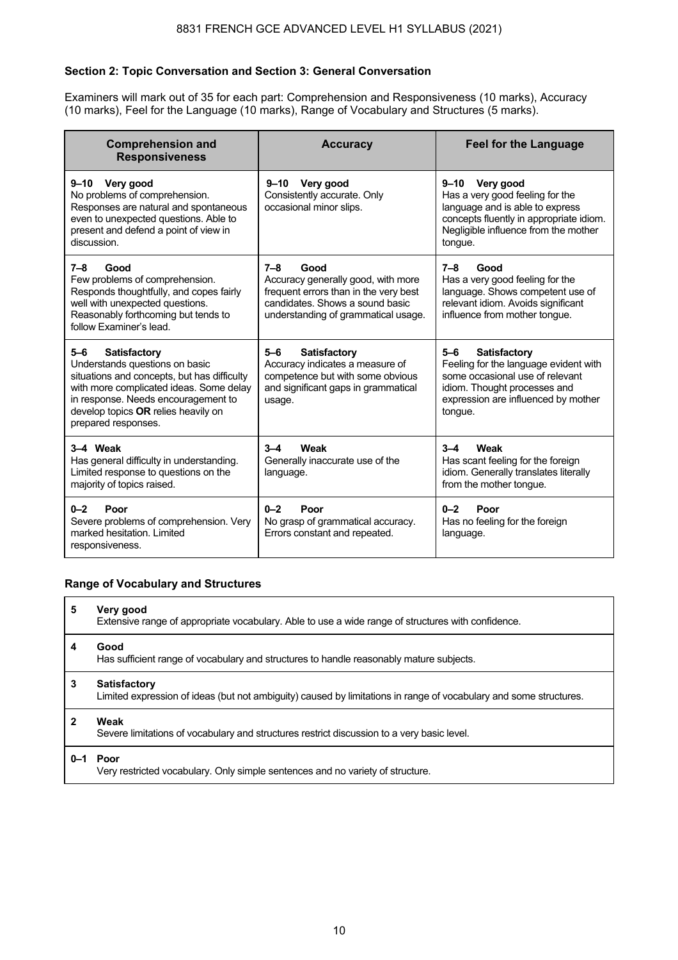#### **Section 2: Topic Conversation and Section 3: General Conversation**

Examiners will mark out of 35 for each part: Comprehension and Responsiveness (10 marks), Accuracy (10 marks), Feel for the Language (10 marks), Range of Vocabulary and Structures (5 marks).

| <b>Comprehension and</b><br><b>Responsiveness</b>                                                                                                                                                                                                               | <b>Accuracy</b>                                                                                                                                                          | <b>Feel for the Language</b>                                                                                                                                                                 |
|-----------------------------------------------------------------------------------------------------------------------------------------------------------------------------------------------------------------------------------------------------------------|--------------------------------------------------------------------------------------------------------------------------------------------------------------------------|----------------------------------------------------------------------------------------------------------------------------------------------------------------------------------------------|
| 9-10 Very good<br>No problems of comprehension.<br>Responses are natural and spontaneous<br>even to unexpected questions. Able to<br>present and defend a point of view in<br>discussion.                                                                       | Very good<br>$9 - 10$<br>Consistently accurate. Only<br>occasional minor slips.                                                                                          | $9 - 10$<br>Very good<br>Has a very good feeling for the<br>language and is able to express<br>concepts fluently in appropriate idiom.<br>Negligible influence from the mother<br>tongue.    |
| $7 - 8$<br>Good<br>Few problems of comprehension.<br>Responds thoughtfully, and copes fairly<br>well with unexpected questions.<br>Reasonably forthcoming but tends to<br>follow Examiner's lead.                                                               | $7 - 8$<br>Good<br>Accuracy generally good, with more<br>frequent errors than in the very best<br>candidates. Shows a sound basic<br>understanding of grammatical usage. | Good<br>7–8<br>Has a very good feeling for the<br>language. Shows competent use of<br>relevant idiom. Avoids significant<br>influence from mother tongue.                                    |
| $5 - 6$<br><b>Satisfactory</b><br>Understands questions on basic<br>situations and concepts, but has difficulty<br>with more complicated ideas. Some delay<br>in response. Needs encouragement to<br>develop topics OR relies heavily on<br>prepared responses. | $5 - 6$<br><b>Satisfactory</b><br>Accuracy indicates a measure of<br>competence but with some obvious<br>and significant gaps in grammatical<br>usage.                   | $5 - 6$<br><b>Satisfactory</b><br>Feeling for the language evident with<br>some occasional use of relevant<br>idiom. Thought processes and<br>expression are influenced by mother<br>tongue. |
| 3-4 Weak<br>Has general difficulty in understanding.<br>Limited response to questions on the<br>majority of topics raised.                                                                                                                                      | Weak<br>$3 - 4$<br>Generally inaccurate use of the<br>language.                                                                                                          | Weak<br>$3 - 4$<br>Has scant feeling for the foreign<br>idiom. Generally translates literally<br>from the mother tongue.                                                                     |
| $0 - 2$<br>Poor<br>Severe problems of comprehension. Very<br>marked hesitation. Limited<br>responsiveness.                                                                                                                                                      | $0 - 2$<br>Poor<br>No grasp of grammatical accuracy.<br>Errors constant and repeated.                                                                                    | $0 - 2$<br>Poor<br>Has no feeling for the foreign<br>language.                                                                                                                               |

#### **Range of Vocabulary and Structures**

| 5 | Very good<br>Extensive range of appropriate vocabulary. Able to use a wide range of structures with confidence.                          |
|---|------------------------------------------------------------------------------------------------------------------------------------------|
| 4 | Good<br>Has sufficient range of vocabulary and structures to handle reasonably mature subjects.                                          |
| 3 | <b>Satisfactory</b><br>Limited expression of ideas (but not ambiguity) caused by limitations in range of vocabulary and some structures. |
| 2 | Weak<br>Severe limitations of vocabulary and structures restrict discussion to a very basic level.                                       |
|   | 0-1 Poor<br>Very restricted vocabulary. Only simple sentences and no variety of structure.                                               |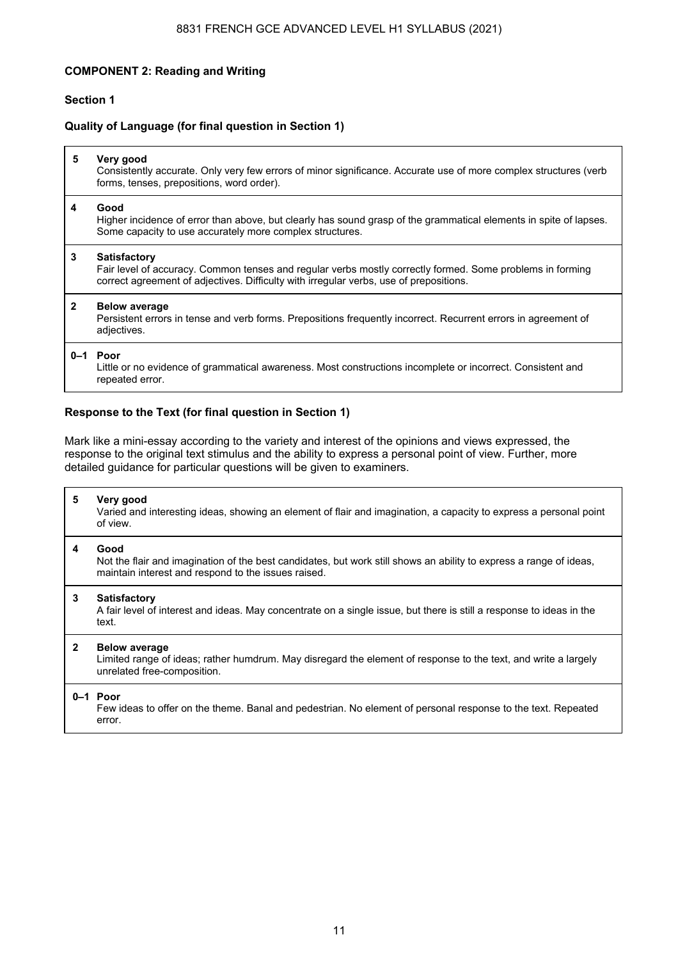#### 8831 FRENCH GCE ADVANCED LEVEL H1 SYLLABUS (2021)

#### **COMPONENT 2: Reading and Writing**

#### **Section 1**

#### **Quality of Language (for final question in Section 1)**

| 5            | Very good<br>Consistently accurate. Only very few errors of minor significance. Accurate use of more complex structures (verb<br>forms, tenses, prepositions, word order).                                                 |
|--------------|----------------------------------------------------------------------------------------------------------------------------------------------------------------------------------------------------------------------------|
| 4            | Good<br>Higher incidence of error than above, but clearly has sound grasp of the grammatical elements in spite of lapses.<br>Some capacity to use accurately more complex structures.                                      |
| 3            | <b>Satisfactory</b><br>Fair level of accuracy. Common tenses and regular verbs mostly correctly formed. Some problems in forming<br>correct agreement of adjectives. Difficulty with irregular verbs, use of prepositions. |
| $\mathbf{2}$ | <b>Below average</b><br>Persistent errors in tense and verb forms. Prepositions frequently incorrect. Recurrent errors in agreement of<br>adjectives.                                                                      |
|              | 0-1 Poor<br>Little or no evidence of grammatical awareness. Most constructions incomplete or incorrect. Consistent and<br>repeated error.                                                                                  |

#### **Response to the Text (for final question in Section 1)**

Mark like a mini-essay according to the variety and interest of the opinions and views expressed, the response to the original text stimulus and the ability to express a personal point of view. Further, more detailed guidance for particular questions will be given to examiners.

| Very good<br>Varied and interesting ideas, showing an element of flair and imagination, a capacity to express a personal point<br>of view. |
|--------------------------------------------------------------------------------------------------------------------------------------------|
| المته                                                                                                                                      |

**4 Good** 

 Not the flair and imagination of the best candidates, but work still shows an ability to express a range of ideas, maintain interest and respond to the issues raised.

#### **3 Satisfactory**

 A fair level of interest and ideas. May concentrate on a single issue, but there is still a response to ideas in the text.

#### **2 Below average**

 Limited range of ideas; rather humdrum. May disregard the element of response to the text, and write a largely unrelated free-composition.

#### **0–1 Poor**

 Few ideas to offer on the theme. Banal and pedestrian. No element of personal response to the text. Repeated error.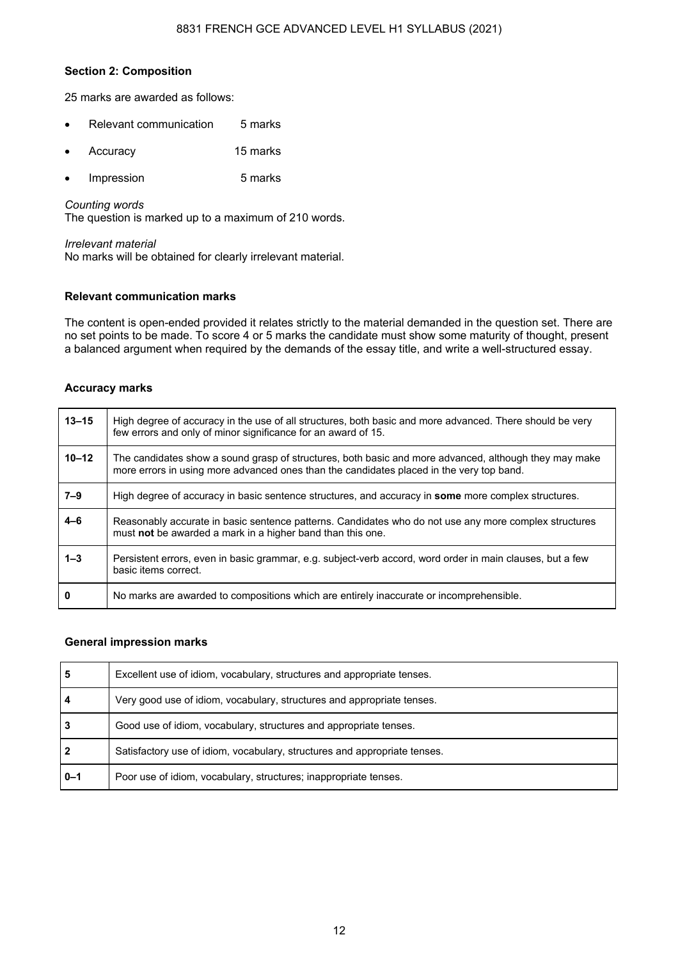#### **Section 2: Composition**

25 marks are awarded as follows:

- Relevant communication 5 marks
- Accuracy 15 marks
- Impression 5 marks

*Counting words* 

The question is marked up to a maximum of 210 words.

*Irrelevant material* 

No marks will be obtained for clearly irrelevant material.

#### **Relevant communication marks**

The content is open-ended provided it relates strictly to the material demanded in the question set. There are no set points to be made. To score 4 or 5 marks the candidate must show some maturity of thought, present a balanced argument when required by the demands of the essay title, and write a well-structured essay.

#### **Accuracy marks**

| $13 - 15$ | High degree of accuracy in the use of all structures, both basic and more advanced. There should be very<br>few errors and only of minor significance for an award of 15.                         |
|-----------|---------------------------------------------------------------------------------------------------------------------------------------------------------------------------------------------------|
| $10 - 12$ | The candidates show a sound grasp of structures, both basic and more advanced, although they may make<br>more errors in using more advanced ones than the candidates placed in the very top band. |
| $7 - 9$   | High degree of accuracy in basic sentence structures, and accuracy in <b>some</b> more complex structures.                                                                                        |
| $4 - 6$   | Reasonably accurate in basic sentence patterns. Candidates who do not use any more complex structures<br>must not be awarded a mark in a higher band than this one.                               |
| $1 - 3$   | Persistent errors, even in basic grammar, e.g. subject-verb accord, word order in main clauses, but a few<br>basic items correct.                                                                 |
| 0         | No marks are awarded to compositions which are entirely inaccurate or incomprehensible.                                                                                                           |

#### **General impression marks**

| 5       | Excellent use of idiom, vocabulary, structures and appropriate tenses.    |
|---------|---------------------------------------------------------------------------|
| 4       | Very good use of idiom, vocabulary, structures and appropriate tenses.    |
| 3       | Good use of idiom, vocabulary, structures and appropriate tenses.         |
| 2       | Satisfactory use of idiom, vocabulary, structures and appropriate tenses. |
| $0 - 1$ | Poor use of idiom, vocabulary, structures; inappropriate tenses.          |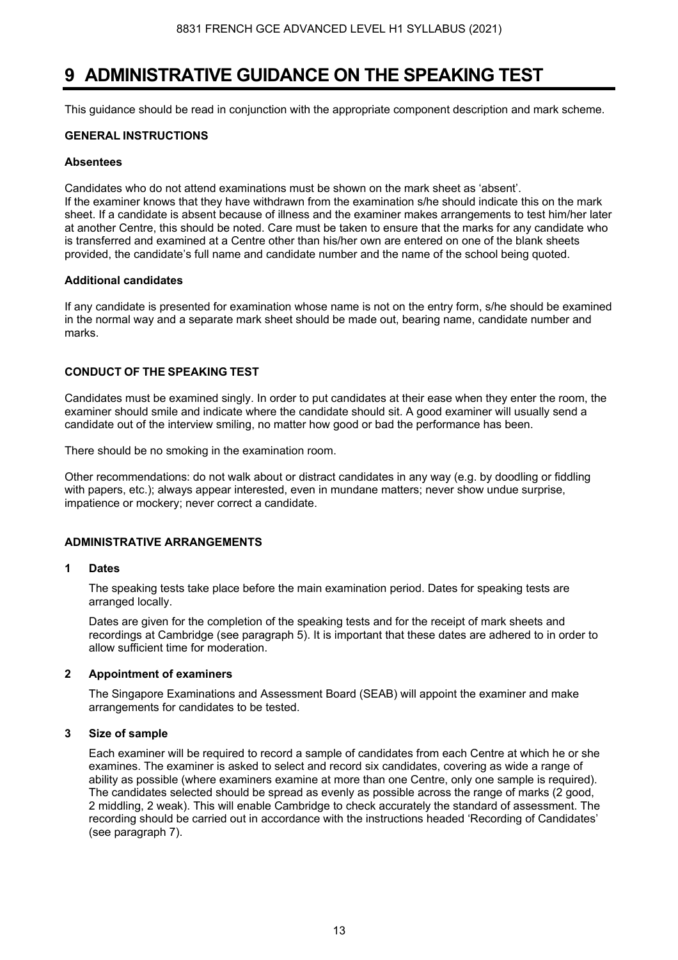### **9 ADMINISTRATIVE GUIDANCE ON THE SPEAKING TEST**

This guidance should be read in conjunction with the appropriate component description and mark scheme.

#### **GENERAL INSTRUCTIONS**

#### **Absentees**

Candidates who do not attend examinations must be shown on the mark sheet as 'absent'. If the examiner knows that they have withdrawn from the examination s/he should indicate this on the mark sheet. If a candidate is absent because of illness and the examiner makes arrangements to test him/her later at another Centre, this should be noted. Care must be taken to ensure that the marks for any candidate who is transferred and examined at a Centre other than his/her own are entered on one of the blank sheets provided, the candidate's full name and candidate number and the name of the school being quoted.

#### **Additional candidates**

If any candidate is presented for examination whose name is not on the entry form, s/he should be examined in the normal way and a separate mark sheet should be made out, bearing name, candidate number and marks.

#### **CONDUCT OF THE SPEAKING TEST**

Candidates must be examined singly. In order to put candidates at their ease when they enter the room, the examiner should smile and indicate where the candidate should sit. A good examiner will usually send a candidate out of the interview smiling, no matter how good or bad the performance has been.

There should be no smoking in the examination room.

Other recommendations: do not walk about or distract candidates in any way (e.g. by doodling or fiddling with papers, etc.); always appear interested, even in mundane matters; never show undue surprise, impatience or mockery; never correct a candidate.

#### **ADMINISTRATIVE ARRANGEMENTS**

#### **1 Dates**

 The speaking tests take place before the main examination period. Dates for speaking tests are arranged locally.

 Dates are given for the completion of the speaking tests and for the receipt of mark sheets and recordings at Cambridge (see paragraph 5). It is important that these dates are adhered to in order to allow sufficient time for moderation.

#### **2 Appointment of examiners**

The Singapore Examinations and Assessment Board (SEAB) will appoint the examiner and make arrangements for candidates to be tested.

#### **3 Size of sample**

 Each examiner will be required to record a sample of candidates from each Centre at which he or she examines. The examiner is asked to select and record six candidates, covering as wide a range of ability as possible (where examiners examine at more than one Centre, only one sample is required). The candidates selected should be spread as evenly as possible across the range of marks (2 good, 2 middling, 2 weak). This will enable Cambridge to check accurately the standard of assessment. The recording should be carried out in accordance with the instructions headed 'Recording of Candidates' (see paragraph 7).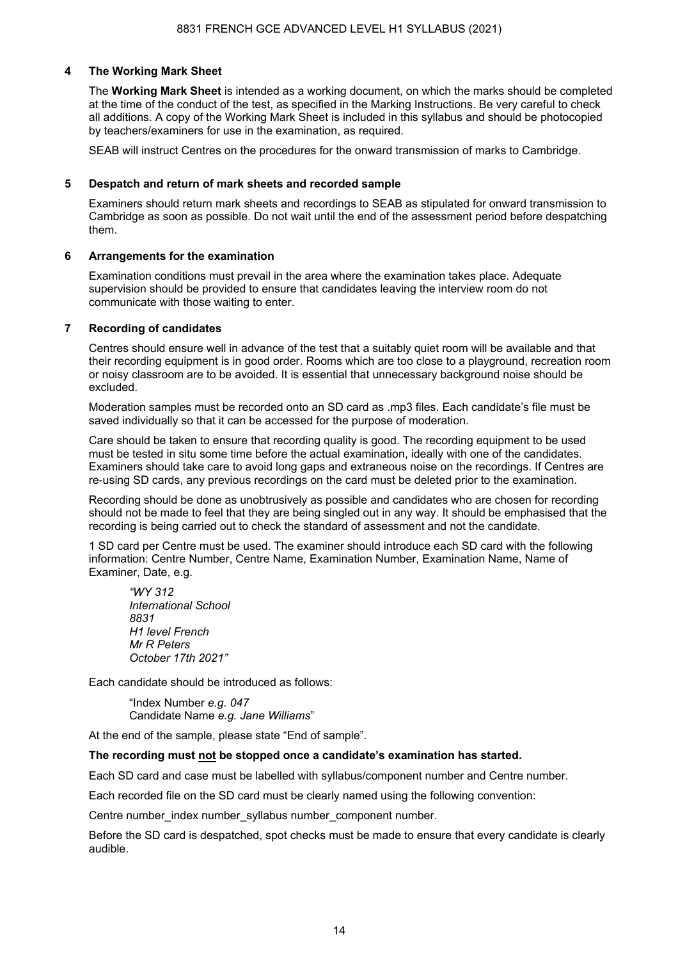#### **4 The Working Mark Sheet**

The **Working Mark Sheet** is intended as a working document, on which the marks should be completed at the time of the conduct of the test, as specified in the Marking Instructions. Be very careful to check all additions. A copy of the Working Mark Sheet is included in this syllabus and should be photocopied by teachers/examiners for use in the examination, as required.

SEAB will instruct Centres on the procedures for the onward transmission of marks to Cambridge.

#### **5 Despatch and return of mark sheets and recorded sample**

 Examiners should return mark sheets and recordings to SEAB as stipulated for onward transmission to Cambridge as soon as possible. Do not wait until the end of the assessment period before despatching them.

#### **6 Arrangements for the examination**

Examination conditions must prevail in the area where the examination takes place. Adequate supervision should be provided to ensure that candidates leaving the interview room do not communicate with those waiting to enter.

#### **7 Recording of candidates**

 Centres should ensure well in advance of the test that a suitably quiet room will be available and that their recording equipment is in good order. Rooms which are too close to a playground, recreation room or noisy classroom are to be avoided. It is essential that unnecessary background noise should be excluded.

 Moderation samples must be recorded onto an SD card as .mp3 files. Each candidate's file must be saved individually so that it can be accessed for the purpose of moderation.

 Care should be taken to ensure that recording quality is good. The recording equipment to be used must be tested in situ some time before the actual examination, ideally with one of the candidates. Examiners should take care to avoid long gaps and extraneous noise on the recordings. If Centres are re-using SD cards, any previous recordings on the card must be deleted prior to the examination.

 Recording should be done as unobtrusively as possible and candidates who are chosen for recording should not be made to feel that they are being singled out in any way. It should be emphasised that the recording is being carried out to check the standard of assessment and not the candidate.

 1 SD card per Centre must be used. The examiner should introduce each SD card with the following information: Centre Number, Centre Name, Examination Number, Examination Name, Name of Examiner, Date, e.g.

*"WY 312 International School 8831 H1 level French Mr R Peters October 17th 2021"*

Each candidate should be introduced as follows:

"Index Number *e.g. 047* Candidate Name *e.g. Jane Williams*"

At the end of the sample, please state "End of sample".

#### **The recording must not be stopped once a candidate's examination has started.**

Each SD card and case must be labelled with syllabus/component number and Centre number.

Each recorded file on the SD card must be clearly named using the following convention:

Centre number index number syllabus number component number.

Before the SD card is despatched, spot checks must be made to ensure that every candidate is clearly audible.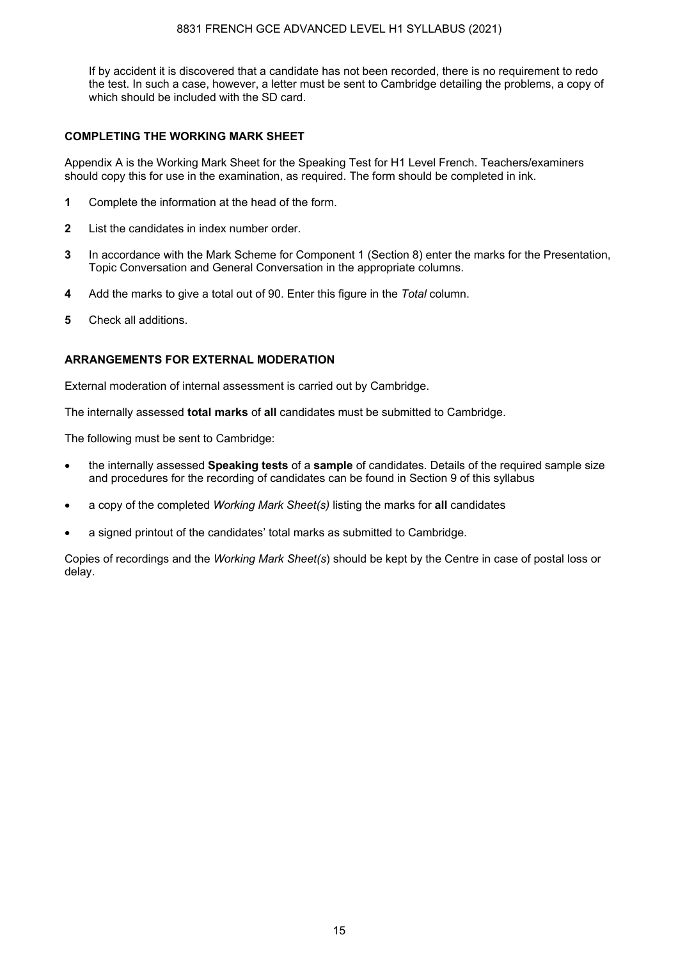If by accident it is discovered that a candidate has not been recorded, there is no requirement to redo the test. In such a case, however, a letter must be sent to Cambridge detailing the problems, a copy of which should be included with the SD card.

#### **COMPLETING THE WORKING MARK SHEET**

Appendix A is the Working Mark Sheet for the Speaking Test for H1 Level French. Teachers/examiners should copy this for use in the examination, as required. The form should be completed in ink.

- **1** Complete the information at the head of the form.
- **2** List the candidates in index number order.
- **3** In accordance with the Mark Scheme for Component 1 (Section 8) enter the marks for the Presentation, Topic Conversation and General Conversation in the appropriate columns.
- **4** Add the marks to give a total out of 90. Enter this figure in the *Total* column.
- **5** Check all additions.

#### **ARRANGEMENTS FOR EXTERNAL MODERATION**

External moderation of internal assessment is carried out by Cambridge.

The internally assessed **total marks** of **all** candidates must be submitted to Cambridge.

The following must be sent to Cambridge:

- the internally assessed **Speaking tests** of a **sample** of candidates. Details of the required sample size and procedures for the recording of candidates can be found in Section 9 of this syllabus
- a copy of the completed *Working Mark Sheet(s)* listing the marks for **all** candidates
- a signed printout of the candidates' total marks as submitted to Cambridge.

Copies of recordings and the *Working Mark Sheet(s*) should be kept by the Centre in case of postal loss or delay.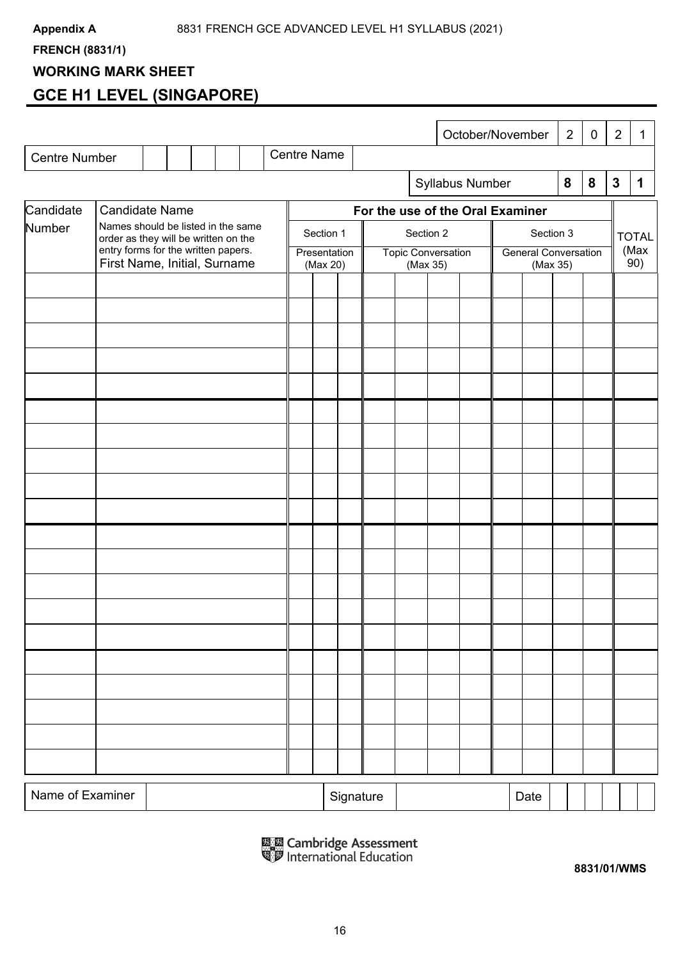**FRENCH (8831/1)** 

### **WORKING MARK SHEET**

### **GCE H1 LEVEL (SINGAPORE)**

|                      |                                                                     |                                                                            |  |  |  |  |                                  |                          |           |  |                                       | October/November |  |  | 2                                       |           | $\mathbf 0$ | $\overline{2}$ | 1           |              |  |
|----------------------|---------------------------------------------------------------------|----------------------------------------------------------------------------|--|--|--|--|----------------------------------|--------------------------|-----------|--|---------------------------------------|------------------|--|--|-----------------------------------------|-----------|-------------|----------------|-------------|--------------|--|
| <b>Centre Number</b> |                                                                     |                                                                            |  |  |  |  | <b>Centre Name</b>               |                          |           |  |                                       |                  |  |  |                                         |           |             |                |             |              |  |
|                      |                                                                     |                                                                            |  |  |  |  |                                  |                          |           |  |                                       | Syllabus Number  |  |  | 8                                       | 8         |             | $\mathbf{3}$   | 1           |              |  |
| Candidate            | <b>Candidate Name</b>                                               |                                                                            |  |  |  |  | For the use of the Oral Examiner |                          |           |  |                                       |                  |  |  |                                         |           |             |                |             |              |  |
| Number               |                                                                     | Names should be listed in the same<br>order as they will be written on the |  |  |  |  |                                  | Section 1                |           |  |                                       | Section 2        |  |  |                                         | Section 3 |             |                |             | <b>TOTAL</b> |  |
|                      | entry forms for the written papers.<br>First Name, Initial, Surname |                                                                            |  |  |  |  |                                  | Presentation<br>(Max 20) |           |  | <b>Topic Conversation</b><br>(Max 35) |                  |  |  | <b>General Conversation</b><br>(Max 35) |           |             |                | (Max<br>90) |              |  |
|                      |                                                                     |                                                                            |  |  |  |  |                                  |                          |           |  |                                       |                  |  |  |                                         |           |             |                |             |              |  |
|                      |                                                                     |                                                                            |  |  |  |  |                                  |                          |           |  |                                       |                  |  |  |                                         |           |             |                |             |              |  |
|                      |                                                                     |                                                                            |  |  |  |  |                                  |                          |           |  |                                       |                  |  |  |                                         |           |             |                |             |              |  |
|                      |                                                                     |                                                                            |  |  |  |  |                                  |                          |           |  |                                       |                  |  |  |                                         |           |             |                |             |              |  |
|                      |                                                                     |                                                                            |  |  |  |  |                                  |                          |           |  |                                       |                  |  |  |                                         |           |             |                |             |              |  |
|                      |                                                                     |                                                                            |  |  |  |  |                                  |                          |           |  |                                       |                  |  |  |                                         |           |             |                |             |              |  |
|                      |                                                                     |                                                                            |  |  |  |  |                                  |                          |           |  |                                       |                  |  |  |                                         |           |             |                |             |              |  |
|                      |                                                                     |                                                                            |  |  |  |  |                                  |                          |           |  |                                       |                  |  |  |                                         |           |             |                |             |              |  |
|                      |                                                                     |                                                                            |  |  |  |  |                                  |                          |           |  |                                       |                  |  |  |                                         |           |             |                |             |              |  |
|                      |                                                                     |                                                                            |  |  |  |  |                                  |                          |           |  |                                       |                  |  |  |                                         |           |             |                |             |              |  |
|                      |                                                                     |                                                                            |  |  |  |  |                                  |                          |           |  |                                       |                  |  |  |                                         |           |             |                |             |              |  |
|                      |                                                                     |                                                                            |  |  |  |  |                                  |                          |           |  |                                       |                  |  |  |                                         |           |             |                |             |              |  |
|                      |                                                                     |                                                                            |  |  |  |  |                                  |                          |           |  |                                       |                  |  |  |                                         |           |             |                |             |              |  |
|                      |                                                                     |                                                                            |  |  |  |  |                                  |                          |           |  |                                       |                  |  |  |                                         |           |             |                |             |              |  |
|                      |                                                                     |                                                                            |  |  |  |  |                                  |                          |           |  |                                       |                  |  |  |                                         |           |             |                |             |              |  |
|                      |                                                                     |                                                                            |  |  |  |  |                                  |                          |           |  |                                       |                  |  |  |                                         |           |             |                |             |              |  |
|                      |                                                                     |                                                                            |  |  |  |  |                                  |                          |           |  |                                       |                  |  |  |                                         |           |             |                |             |              |  |
|                      |                                                                     |                                                                            |  |  |  |  |                                  |                          |           |  |                                       |                  |  |  |                                         |           |             |                |             |              |  |
|                      |                                                                     |                                                                            |  |  |  |  |                                  |                          |           |  |                                       |                  |  |  |                                         |           |             |                |             |              |  |
|                      |                                                                     |                                                                            |  |  |  |  |                                  |                          |           |  |                                       |                  |  |  |                                         |           |             |                |             |              |  |
| Name of Examiner     |                                                                     |                                                                            |  |  |  |  |                                  |                          | Signature |  |                                       |                  |  |  | Date                                    |           |             |                |             |              |  |



**8831/01/WMS**